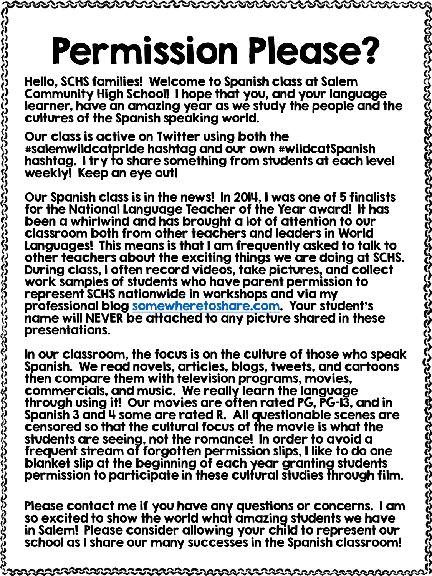## Permission Please?

Hello, SCHS families! Welcome to Spanish class at Salem Community High School! I hope that you, and your language learner, have an amazing year as we study the people and the cultures of the Spanish speaking world.

Our class is active on Twitter using both the #salemwildcatpride hashtag and our own #wildcatSpanish hashtag. I try to share something from students at each level weekly! Keep an eye out!

Our Spanish class is in the news! In 2014, I was one of 5 finalists for the National Language Teacher of the Year award! It has been a whirlwind and has brought a lot of attention to our classroom both from other teachers and leaders in World Languages! This means is that I am frequently asked to talk to other teachers about the exciting things we are doing at SCHS. During class, I often record videos, take pictures, and collect work samples of students who have parent permission to represent SCHS nationwide in workshops and via my professional blog [somewheretoshare.com.](file:///C:/Users/Carrie/Documents/a spanish I/2014-15/somewheretoshare.com) Your student's name will NEVER be attached to any picture shared in these presentations.

In our classroom, the focus is on the culture of those who speak Spanish. We read novels, articles, blogs, tweets, and cartoons then compare them with television programs, movies, commercials, and music. We really learn the language through using it! Our movies are often rated PG, PG-13, and in Spanish 3 and 4 some are rated R. All questionable scenes are censored so that the cultural focus of the movie is what the students are seeing, not the romance! In order to avoid a frequent stream of forgotten permission slips, I like to do one blanket slip at the beginning of each year granting students permission to participate in these cultural studies through film.

Please contact me if you have any questions or concerns. I am so excited to show the world what amazing students we have in Salem! Please consider allowing your child to represent our school as I share our many successes in the Spanish classroom!